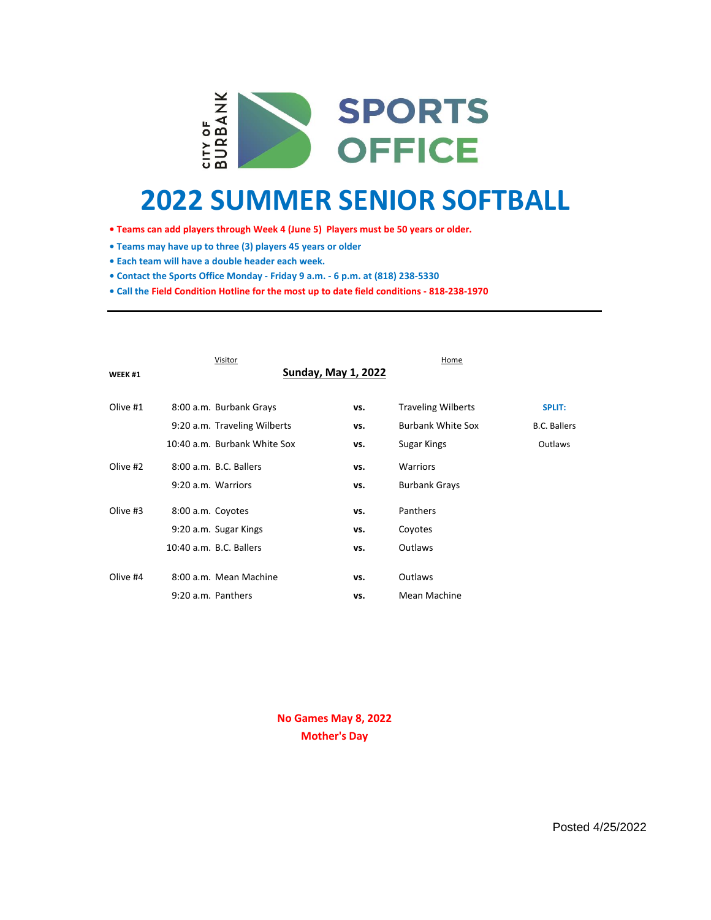

# **2022 SUMMER SENIOR SOFTBALL**

- **Teams can add players through Week 4 (June 5) Players must be 50 years or older.**
- **Teams may have up to three (3) players 45 years or older**
- **Each team will have a double header each week.**
- **Contact the Sports Office Monday Friday 9 a.m. 6 p.m. at (818) 238-5330**
- **Call the Field Condition Hotline for the most up to date field conditions 818-238-1970**

| Visitor  |                              |                            | Home                      |                     |
|----------|------------------------------|----------------------------|---------------------------|---------------------|
| WEEK #1  |                              | <b>Sunday, May 1, 2022</b> |                           |                     |
|          |                              |                            |                           |                     |
| Olive #1 | 8:00 a.m. Burbank Grays      | vs.                        | <b>Traveling Wilberts</b> | <b>SPLIT:</b>       |
|          | 9:20 a.m. Traveling Wilberts | vs.                        | <b>Burbank White Sox</b>  | <b>B.C. Ballers</b> |
|          | 10:40 a.m. Burbank White Sox | vs.                        | Sugar Kings               | Outlaws             |
| Olive #2 | 8:00 a.m. B.C. Ballers       | vs.                        | <b>Warriors</b>           |                     |
|          | 9:20 a.m. Warriors           | vs.                        | <b>Burbank Grays</b>      |                     |
| Olive #3 | 8:00 a.m. Coyotes            | vs.                        | Panthers                  |                     |
|          | 9:20 a.m. Sugar Kings        | vs.                        | Coyotes                   |                     |
|          | 10:40 a.m. B.C. Ballers      | vs.                        | <b>Outlaws</b>            |                     |
|          |                              |                            |                           |                     |
| Olive #4 | 8:00 a.m. Mean Machine       | vs.                        | Outlaws                   |                     |
|          | 9:20 a.m. Panthers           | vs.                        | Mean Machine              |                     |

**No Games May 8, 2022 Mother's Day**

Posted 4/25/2022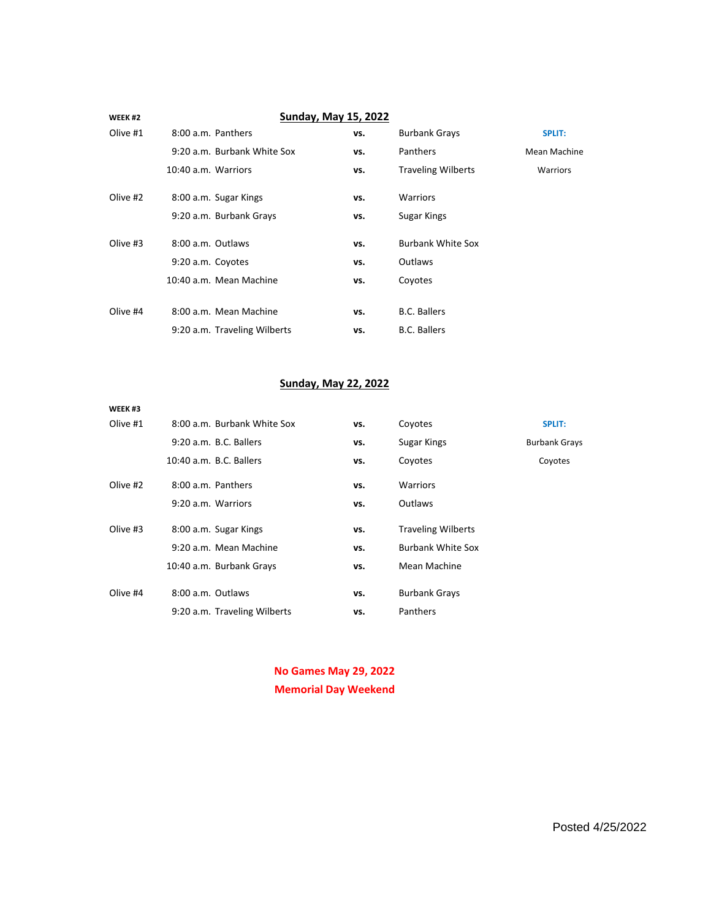| WEEK <sub>#2</sub> | <b>Sunday, May 15, 2022</b>  |     |                           |                 |
|--------------------|------------------------------|-----|---------------------------|-----------------|
| Olive #1           | 8:00 a.m. Panthers           | vs. | <b>Burbank Grays</b>      | <b>SPLIT:</b>   |
|                    | 9:20 a.m. Burbank White Sox  | vs. | Panthers                  | Mean Machine    |
|                    | 10:40 a.m. Warriors          | vs. | <b>Traveling Wilberts</b> | <b>Warriors</b> |
| Olive #2           | 8:00 a.m. Sugar Kings        | vs. | <b>Warriors</b>           |                 |
|                    | 9:20 a.m. Burbank Grays      | vs. | Sugar Kings               |                 |
| Olive #3           | 8:00 a.m. Outlaws            | vs. | <b>Burbank White Sox</b>  |                 |
|                    | 9:20 a.m. Coyotes            | vs. | Outlaws                   |                 |
|                    | 10:40 a.m. Mean Machine      | vs. | Coyotes                   |                 |
|                    |                              |     |                           |                 |
| Olive #4           | 8:00 a.m. Mean Machine       | vs. | <b>B.C. Ballers</b>       |                 |
|                    | 9:20 a.m. Traveling Wilberts | vs. | <b>B.C. Ballers</b>       |                 |

## **Sunday, May 22, 2022**

| WEEK <sub>#3</sub> |                              |     |                           |                      |
|--------------------|------------------------------|-----|---------------------------|----------------------|
| Olive #1           | 8:00 a.m. Burbank White Sox  | vs. | Coyotes                   | <b>SPLIT:</b>        |
|                    | 9:20 a.m. B.C. Ballers       | vs. | Sugar Kings               | <b>Burbank Grays</b> |
|                    | 10:40 a.m. B.C. Ballers      | vs. | Coyotes                   | Coyotes              |
| Olive #2           | 8:00 a.m. Panthers           | vs. | <b>Warriors</b>           |                      |
|                    | 9:20 a.m. Warriors           | vs. | Outlaws                   |                      |
| Olive #3           | 8:00 a.m. Sugar Kings        | vs. | <b>Traveling Wilberts</b> |                      |
|                    | 9:20 a.m. Mean Machine       | vs. | <b>Burbank White Sox</b>  |                      |
|                    | 10:40 a.m. Burbank Grays     | vs. | Mean Machine              |                      |
| Olive #4           | 8:00 a.m. Outlaws            | vs. | <b>Burbank Grays</b>      |                      |
|                    | 9:20 a.m. Traveling Wilberts | vs. | Panthers                  |                      |
|                    |                              |     |                           |                      |

**No Games May 29, 2022 Memorial Day Weekend**

Posted 4/25/2022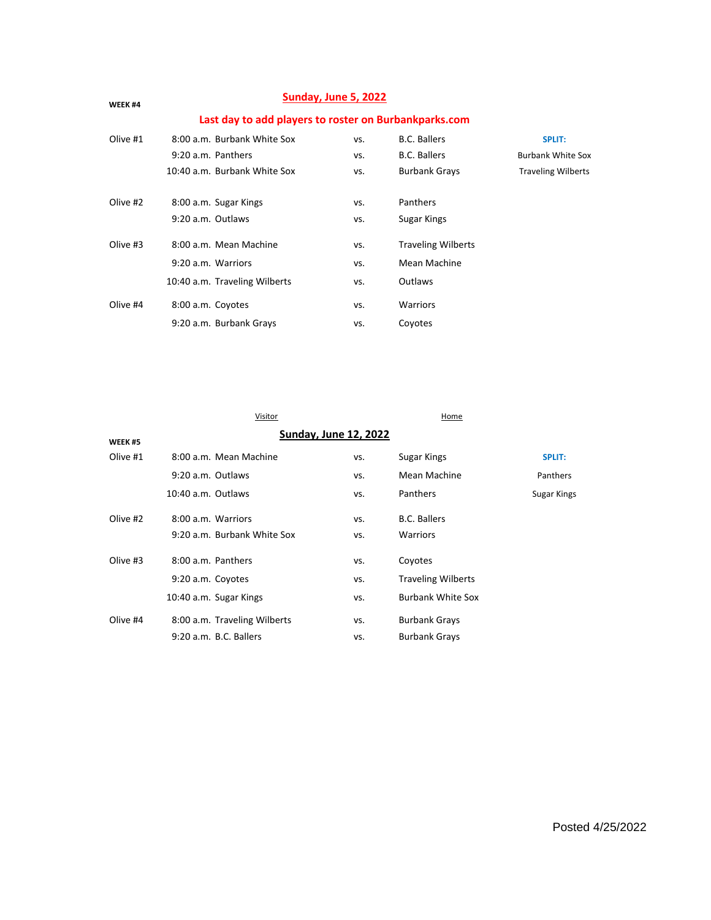| Sunday, June 5, 2022<br>WEEK #4<br>Last day to add players to roster on Burbankparks.com |                               |     |                           |                           |
|------------------------------------------------------------------------------------------|-------------------------------|-----|---------------------------|---------------------------|
|                                                                                          |                               |     |                           |                           |
|                                                                                          | 9:20 a.m. Panthers            | VS. | <b>B.C. Ballers</b>       | <b>Burbank White Sox</b>  |
|                                                                                          | 10:40 a.m. Burbank White Sox  | VS. | <b>Burbank Grays</b>      | <b>Traveling Wilberts</b> |
| Olive #2                                                                                 | 8:00 a.m. Sugar Kings         | VS. | Panthers                  |                           |
|                                                                                          | 9:20 a.m. Outlaws             | VS. | Sugar Kings               |                           |
| Olive #3                                                                                 | 8:00 a.m. Mean Machine        | VS. | <b>Traveling Wilberts</b> |                           |
|                                                                                          | 9:20 a.m. Warriors            | VS. | Mean Machine              |                           |
|                                                                                          | 10:40 a.m. Traveling Wilberts | VS. | Outlaws                   |                           |
| Olive #4                                                                                 | 8:00 a.m. Coyotes             | VS. | <b>Warriors</b>           |                           |
|                                                                                          | 9:20 a.m. Burbank Grays       | VS. | Coyotes                   |                           |

Visitor **Home** 

| <b>Sunday, June 12, 2022</b><br>WEEK #5 |                    |                              |     |                           |               |
|-----------------------------------------|--------------------|------------------------------|-----|---------------------------|---------------|
| Olive #1                                |                    | 8:00 a.m. Mean Machine       | VS. | Sugar Kings               | <b>SPLIT:</b> |
|                                         | 9:20 a.m. Outlaws  |                              | VS. | Mean Machine              | Panthers      |
|                                         | 10:40 a.m. Outlaws |                              | VS. | Panthers                  | Sugar Kings   |
| Olive #2                                | 8:00 a.m. Warriors |                              | VS. | <b>B.C. Ballers</b>       |               |
|                                         |                    | 9:20 a.m. Burbank White Sox  | VS. | <b>Warriors</b>           |               |
| Olive #3                                | 8:00 a.m. Panthers |                              | VS. | Coyotes                   |               |
|                                         | 9:20 a.m. Coyotes  |                              | VS. | <b>Traveling Wilberts</b> |               |
|                                         |                    | 10:40 a.m. Sugar Kings       | VS. | <b>Burbank White Sox</b>  |               |
| Olive #4                                |                    | 8:00 a.m. Traveling Wilberts | VS. | <b>Burbank Grays</b>      |               |
|                                         |                    | 9:20 a.m. B.C. Ballers       | VS. | <b>Burbank Grays</b>      |               |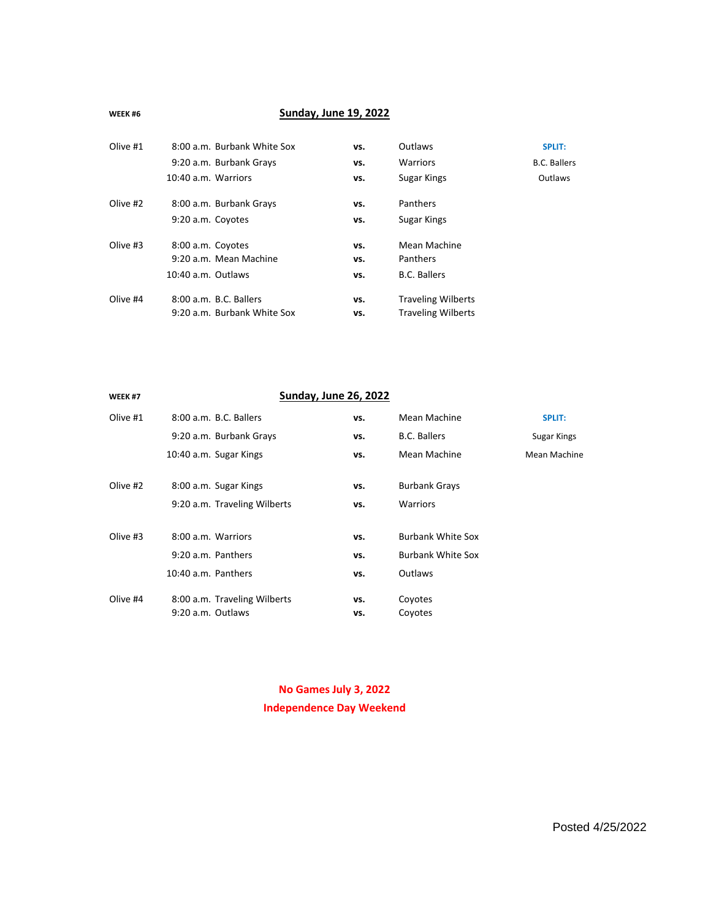#### **WEEK #6**

## **Sunday, June 19, 2022**

| Olive #1 | 8:00 a.m. Burbank White Sox                           | vs.        | Outlaws                                                | <b>SPLIT:</b>       |
|----------|-------------------------------------------------------|------------|--------------------------------------------------------|---------------------|
|          | 9:20 a.m. Burbank Grays                               | vs.        | <b>Warriors</b>                                        | <b>B.C. Ballers</b> |
|          | 10:40 a.m. Warriors                                   | vs.        | Sugar Kings                                            | Outlaws             |
| Olive #2 | 8:00 a.m. Burbank Grays                               | vs.        | Panthers                                               |                     |
|          | 9:20 a.m. Coyotes                                     | vs.        | Sugar Kings                                            |                     |
| Olive #3 | 8:00 a.m. Coyotes                                     | vs.        | Mean Machine                                           |                     |
|          | 9:20 a.m. Mean Machine                                | vs.        | Panthers                                               |                     |
|          | 10:40 a.m. Outlaws                                    | vs.        | <b>B.C. Ballers</b>                                    |                     |
| Olive #4 | 8:00 a.m. B.C. Ballers<br>9:20 a.m. Burbank White Sox | vs.<br>vs. | <b>Traveling Wilberts</b><br><b>Traveling Wilberts</b> |                     |

| WEEK #7  |                              | <b>Sunday, June 26, 2022</b> |                          |               |
|----------|------------------------------|------------------------------|--------------------------|---------------|
| Olive #1 | 8:00 a.m. B.C. Ballers       | vs.                          | Mean Machine             | <b>SPLIT:</b> |
|          | 9:20 a.m. Burbank Grays      | vs.                          | <b>B.C. Ballers</b>      | Sugar Kings   |
|          | 10:40 a.m. Sugar Kings       | vs.                          | Mean Machine             | Mean Machine  |
| Olive #2 | 8:00 a.m. Sugar Kings        | vs.                          | <b>Burbank Grays</b>     |               |
|          | 9:20 a.m. Traveling Wilberts | vs.                          | <b>Warriors</b>          |               |
| Olive #3 | 8:00 a.m. Warriors           | vs.                          | <b>Burbank White Sox</b> |               |
|          | 9:20 a.m. Panthers           | vs.                          | <b>Burbank White Sox</b> |               |
|          | 10:40 a.m. Panthers          | vs.                          | Outlaws                  |               |
| Olive #4 | 8:00 a.m. Traveling Wilberts | vs.                          | Coyotes                  |               |
|          | 9:20 a.m. Outlaws            | vs.                          | Coyotes                  |               |

**No Games July 3, 2022 Independence Day Weekend**

Posted 4/25/2022